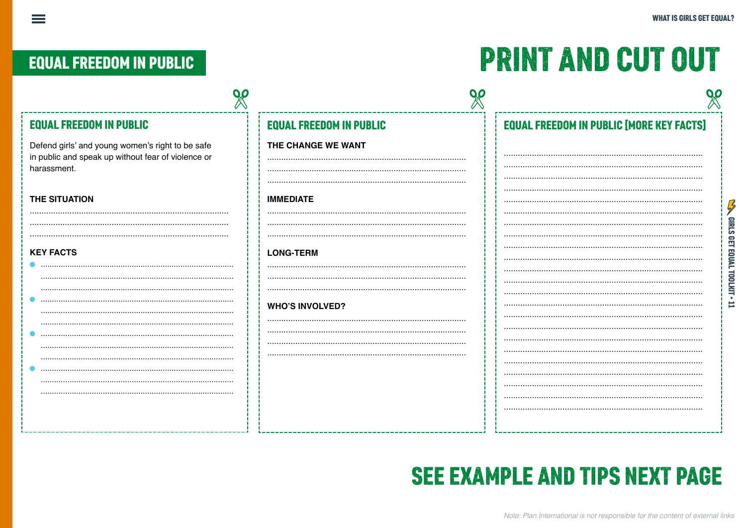**CASE GIRLS GET EQUAL TOOLKIT + 11** 

# **EQUAL FREEDOM IN PUBLIC**

 $\equiv$ 

# **PRINT AND CUT OUT**

| <b>EQUAL FREEDOM IN PUBLIC</b>                                                                                        | <b>EQUAL FREEDOM IN PUBLIC</b> | <b>EQUAL FREEDOM IN PUBLIC [MORE KEY FACTS]</b> |
|-----------------------------------------------------------------------------------------------------------------------|--------------------------------|-------------------------------------------------|
| Defend girls' and young women's right to be safe<br>in public and speak up without fear of violence or<br>harassment. | THE CHANGE WE WANT             |                                                 |
| <b>THE SITUATION</b>                                                                                                  | <b>IMMEDIATE</b>               |                                                 |
| <b>KEY FACTS</b>                                                                                                      | <b>LONG-TERM</b>               |                                                 |
|                                                                                                                       | <b>WHO'S INVOLVED?</b>         |                                                 |
|                                                                                                                       |                                |                                                 |
|                                                                                                                       |                                |                                                 |
|                                                                                                                       |                                |                                                 |

# **SEE EXAMPLE AND TIPS NEXT PAGE**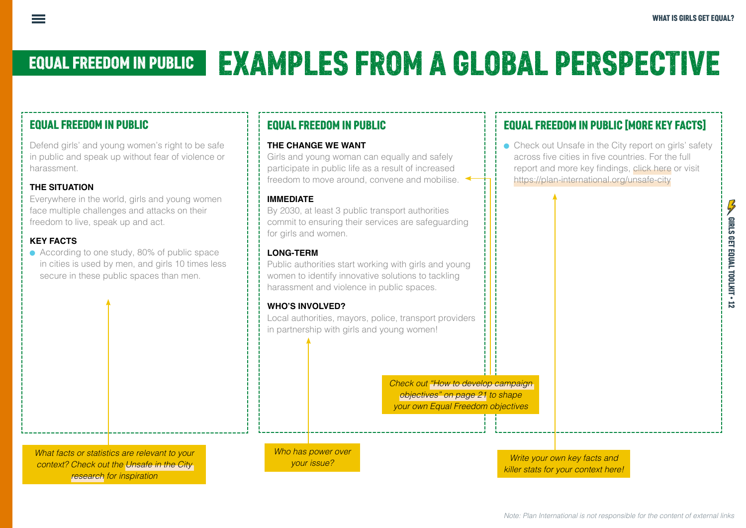# EQUAL FREEDOM IN PUBLIC EXAMPLES FROM A GLOBAL PERSPECTIVE

# EQUAL FREEDOM IN PUBLIC

Defend girls' and young women's right to be safe in public and speak up without fear of violence or harassment.

## **THE SITUATION**

Everywhere in the world, girls and young women face multiple challenges and attacks on their freedom to live, speak up and act.

### **KEY FACTS**

• According to one study, 80% of public space in cities is used by men, and girls 10 times less secure in these public spaces than men.

# EQUAL FREEDOM IN PUBLIC

#### **THE CHANGE WE WANT**

Girls and young woman can equally and safely participate in public life as a result of increased freedom to move around, convene and mobilise.

#### **IMMEDIATE**

By 2030, at least 3 public transport authorities commit to ensuring their services are safeguarding for girls and women.

### **LONG-TERM**

Public authorities start working with girls and young women to identify innovative solutions to tackling harassment and violence in public spaces.

#### **WHO'S INVOLVED?**

Local authorities, mayors, police, transport providers in partnership with girls and young women!

> *Check out "How to develop campaign objectives" on page 21 to shape your own Equal Freedom objectives*

*Who has power over your issue?* 

#### *Write your own key facts and killer stats for your context here!*

# EQUAL FREEDOM IN PUBLIC [MORE KEY FACTS]

• Check out Unsafe in the City report on girls' safety across five cities in five countries. For the full report and more key findings, [click here](https://plan-international.org/unsafe-city) or visit <https://plan-international.org/unsafe-city>

*What facts or statistics are relevant to your context? Check out the [Unsafe in the City](https://plan-international.org/unsafe-city)  [research](https://plan-international.org/unsafe-city) for inspiration*